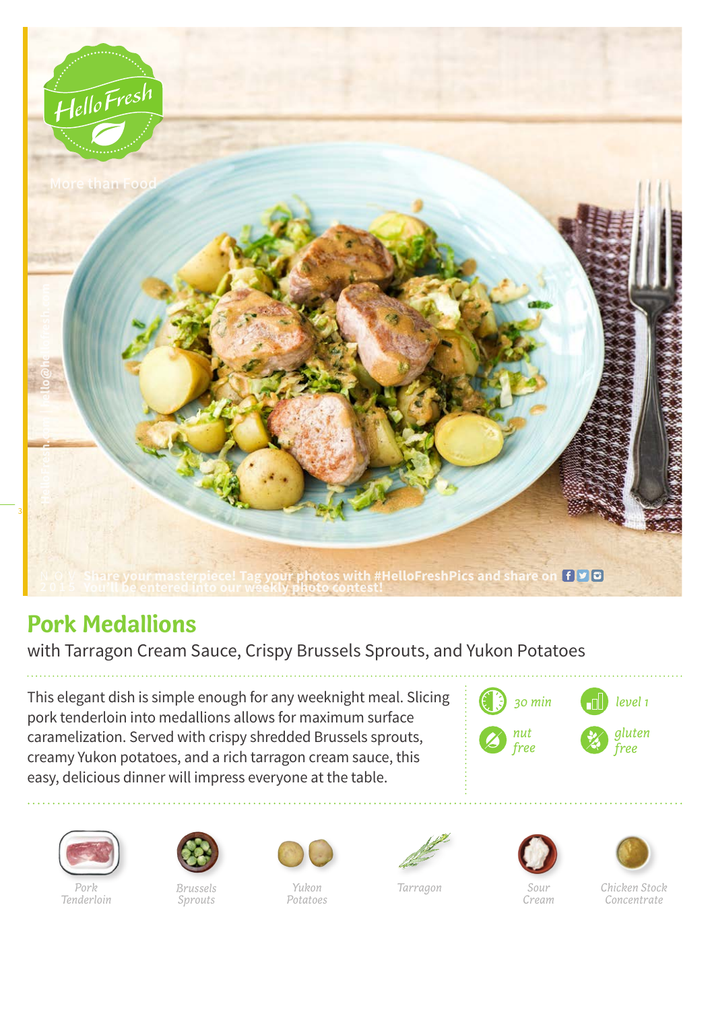

## **Pork Medallions**

with Tarragon Cream Sauce, Crispy Brussels Sprouts, and Yukon Potatoes

This elegant dish is simple enough for any weeknight meal. Slicing pork tenderloin into medallions allows for maximum surface caramelization. Served with crispy shredded Brussels sprouts, creamy Yukon potatoes, and a rich tarragon cream sauce, this easy, delicious dinner will impress everyone at the table.





*Pork Tenderloin*



*Brussels Sprouts*



*Yukon Potatoes*



*Tarragon*



*Cream*



*Chicken Stock Concentrate*